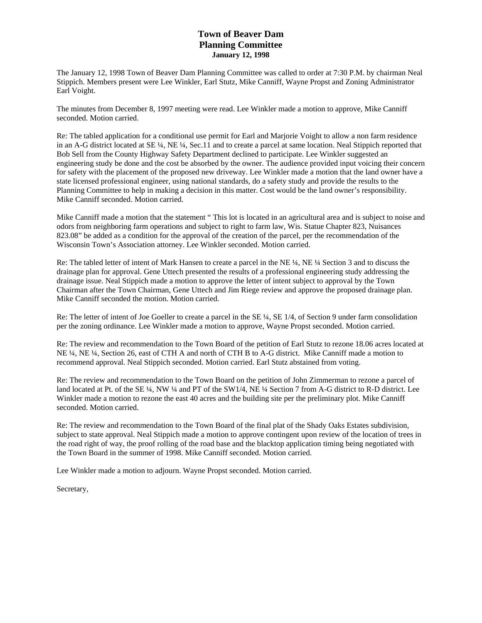## **Town of Beaver Dam Planning Committee January 12, 1998**

The January 12, 1998 Town of Beaver Dam Planning Committee was called to order at 7:30 P.M. by chairman Neal Stippich. Members present were Lee Winkler, Earl Stutz, Mike Canniff, Wayne Propst and Zoning Administrator Earl Voight.

The minutes from December 8, 1997 meeting were read. Lee Winkler made a motion to approve, Mike Canniff seconded. Motion carried.

Re: The tabled application for a conditional use permit for Earl and Marjorie Voight to allow a non farm residence in an A-G district located at SE ¼, NE ¼, Sec.11 and to create a parcel at same location. Neal Stippich reported that Bob Sell from the County Highway Safety Department declined to participate. Lee Winkler suggested an engineering study be done and the cost be absorbed by the owner. The audience provided input voicing their concern for safety with the placement of the proposed new driveway. Lee Winkler made a motion that the land owner have a state licensed professional engineer, using national standards, do a safety study and provide the results to the Planning Committee to help in making a decision in this matter. Cost would be the land owner's responsibility. Mike Canniff seconded. Motion carried.

Mike Canniff made a motion that the statement " This lot is located in an agricultural area and is subject to noise and odors from neighboring farm operations and subject to right to farm law, Wis. Statue Chapter 823, Nuisances 823.08" be added as a condition for the approval of the creation of the parcel, per the recommendation of the Wisconsin Town's Association attorney. Lee Winkler seconded. Motion carried.

Re: The tabled letter of intent of Mark Hansen to create a parcel in the NE ¼, NE ¼ Section 3 and to discuss the drainage plan for approval. Gene Uttech presented the results of a professional engineering study addressing the drainage issue. Neal Stippich made a motion to approve the letter of intent subject to approval by the Town Chairman after the Town Chairman, Gene Uttech and Jim Riege review and approve the proposed drainage plan. Mike Canniff seconded the motion. Motion carried.

Re: The letter of intent of Joe Goeller to create a parcel in the SE ¼, SE 1/4, of Section 9 under farm consolidation per the zoning ordinance. Lee Winkler made a motion to approve, Wayne Propst seconded. Motion carried.

Re: The review and recommendation to the Town Board of the petition of Earl Stutz to rezone 18.06 acres located at NE ¼, NE ¼, Section 26, east of CTH A and north of CTH B to A-G district. Mike Canniff made a motion to recommend approval. Neal Stippich seconded. Motion carried. Earl Stutz abstained from voting.

Re: The review and recommendation to the Town Board on the petition of John Zimmerman to rezone a parcel of land located at Pt. of the SE ¼, NW ¼ and PT of the SW1/4, NE ¼ Section 7 from A-G district to R-D district. Lee Winkler made a motion to rezone the east 40 acres and the building site per the preliminary plot. Mike Canniff seconded. Motion carried.

Re: The review and recommendation to the Town Board of the final plat of the Shady Oaks Estates subdivision, subject to state approval. Neal Stippich made a motion to approve contingent upon review of the location of trees in the road right of way, the proof rolling of the road base and the blacktop application timing being negotiated with the Town Board in the summer of 1998. Mike Canniff seconded. Motion carried.

Lee Winkler made a motion to adjourn. Wayne Propst seconded. Motion carried.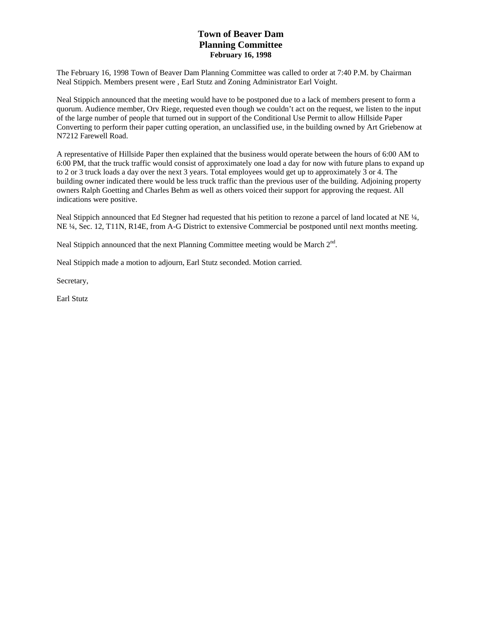## **Town of Beaver Dam Planning Committee February 16, 1998**

The February 16, 1998 Town of Beaver Dam Planning Committee was called to order at 7:40 P.M. by Chairman Neal Stippich. Members present were , Earl Stutz and Zoning Administrator Earl Voight.

Neal Stippich announced that the meeting would have to be postponed due to a lack of members present to form a quorum. Audience member, Orv Riege, requested even though we couldn't act on the request, we listen to the input of the large number of people that turned out in support of the Conditional Use Permit to allow Hillside Paper Converting to perform their paper cutting operation, an unclassified use, in the building owned by Art Griebenow at N7212 Farewell Road.

A representative of Hillside Paper then explained that the business would operate between the hours of 6:00 AM to 6:00 PM, that the truck traffic would consist of approximately one load a day for now with future plans to expand up to 2 or 3 truck loads a day over the next 3 years. Total employees would get up to approximately 3 or 4. The building owner indicated there would be less truck traffic than the previous user of the building. Adjoining property owners Ralph Goetting and Charles Behm as well as others voiced their support for approving the request. All indications were positive.

Neal Stippich announced that Ed Stegner had requested that his petition to rezone a parcel of land located at NE  $\frac{1}{4}$ , NE ¼, Sec. 12, T11N, R14E, from A-G District to extensive Commercial be postponed until next months meeting.

Neal Stippich announced that the next Planning Committee meeting would be March 2<sup>nd</sup>.

Neal Stippich made a motion to adjourn, Earl Stutz seconded. Motion carried.

Secretary,

Earl Stutz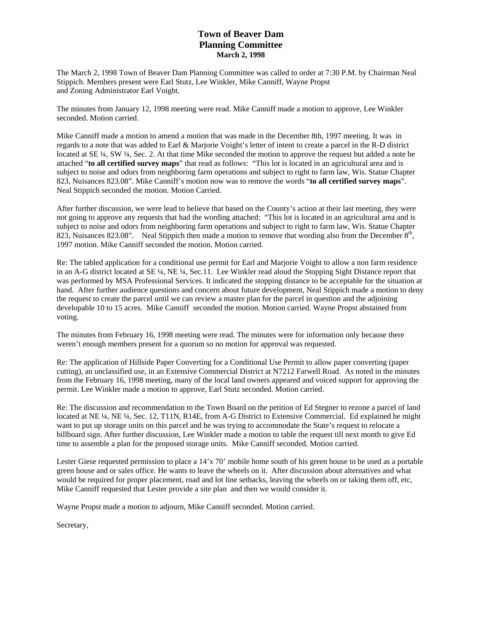## **Town of Beaver Dam Planning Committee March 2, 1998**

The March 2, 1998 Town of Beaver Dam Planning Committee was called to order at 7:30 P.M. by Chairman Neal Stippich. Members present were Earl Stutz, Lee Winkler, Mike Canniff, Wayne Propst and Zoning Administrator Earl Voight.

The minutes from January 12, 1998 meeting were read. Mike Canniff made a motion to approve, Lee Winkler seconded. Motion carried.

Mike Canniff made a motion to amend a motion that was made in the December 8th, 1997 meeting. It was in regards to a note that was added to Earl & Marjorie Voight's letter of intent to create a parcel in the R-D district located at SE  $\frac{1}{4}$ , SW  $\frac{1}{4}$ , Sec. 2. At that time Mike seconded the motion to approve the request but added a note be attached "**to all certified survey maps**" that read as follows: "This lot is located in an agricultural area and is subject to noise and odors from neighboring farm operations and subject to right to farm law, Wis. Statue Chapter 823, Nuisances 823.08". Mike Canniff's motion now was to remove the words "**to all certified survey maps**". Neal Stippich seconded the motion. Motion Carried.

After further discussion, we were lead to believe that based on the County's action at their last meeting, they were not going to approve any requests that had the wording attached: "This lot is located in an agricultural area and is subject to noise and odors from neighboring farm operations and subject to right to farm law, Wis. Statue Chapter 823, Nuisances 823.08". Neal Stippich then made a motion to remove that wording also from the December  $8<sup>th</sup>$ , 1997 motion. Mike Canniff seconded the motion. Motion carried.

Re: The tabled application for a conditional use permit for Earl and Marjorie Voight to allow a non farm residence in an A-G district located at SE ¼, NE ¼, Sec.11. Lee Winkler read aloud the Stopping Sight Distance report that was performed by MSA Professional Services. It indicated the stopping distance to be acceptable for the situation at hand. After further audience questions and concern about future development, Neal Stippich made a motion to deny the request to create the parcel until we can review a master plan for the parcel in question and the adjoining developable 10 to 15 acres. Mike Canniff seconded the motion. Motion carried. Wayne Propst abstained from voting.

The minutes from February 16, 1998 meeting were read. The minutes were for information only because there weren't enough members present for a quorum so no motion for approval was requested.

Re: The application of Hillside Paper Converting for a Conditional Use Permit to allow paper converting (paper cutting), an unclassified use, in an Extensive Commercial District at N7212 Farwell Road. As noted in the minutes from the February 16, 1998 meeting, many of the local land owners appeared and voiced support for approving the permit. Lee Winkler made a motion to approve, Earl Stutz seconded. Motion carried.

Re: The discussion and recommendation to the Town Board on the petition of Ed Stegner to rezone a parcel of land located at NE ¼, NE ¼, Sec. 12, T11N, R14E, from A-G District to Extensive Commercial. Ed explained he might want to put up storage units on this parcel and he was trying to accommodate the State's request to relocate a billboard sign. After further discussion, Lee Winkler made a motion to table the request till next month to give Ed time to assemble a plan for the proposed storage units. Mike Canniff seconded. Motion carried.

Lester Giese requested permission to place a 14'x 70' mobile home south of his green house to be used as a portable green house and or sales office. He wants to leave the wheels on it. After discussion about alternatives and what would be required for proper placement, road and lot line setbacks, leaving the wheels on or taking them off, etc, Mike Canniff requested that Lester provide a site plan and then we would consider it.

Wayne Propst made a motion to adjourn, Mike Canniff seconded. Motion carried.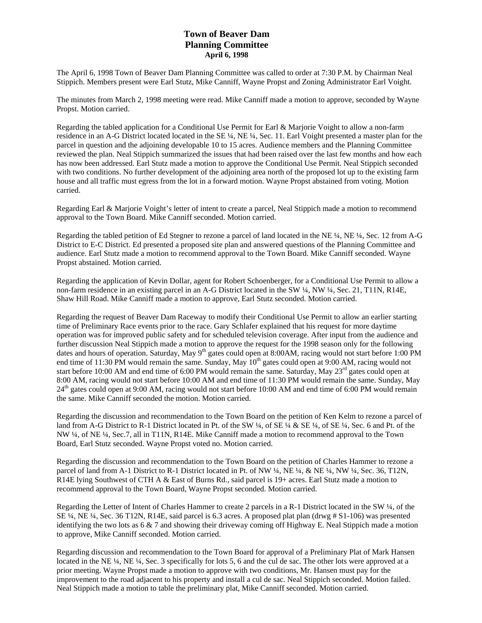### **Town of Beaver Dam Planning Committee April 6, 1998**

The April 6, 1998 Town of Beaver Dam Planning Committee was called to order at 7:30 P.M. by Chairman Neal Stippich. Members present were Earl Stutz, Mike Canniff, Wayne Propst and Zoning Administrator Earl Voight.

The minutes from March 2, 1998 meeting were read. Mike Canniff made a motion to approve, seconded by Wayne Propst. Motion carried.

Regarding the tabled application for a Conditional Use Permit for Earl & Marjorie Voight to allow a non-farm residence in an A-G District located located in the SE ¼, NE ¼, Sec. 11. Earl Voight presented a master plan for the parcel in question and the adjoining developable 10 to 15 acres. Audience members and the Planning Committee reviewed the plan. Neal Stippich summarized the issues that had been raised over the last few months and how each has now been addressed. Earl Stutz made a motion to approve the Conditional Use Permit. Neal Stippich seconded with two conditions. No further development of the adjoining area north of the proposed lot up to the existing farm house and all traffic must egress from the lot in a forward motion. Wayne Propst abstained from voting. Motion carried.

Regarding Earl & Marjorie Voight's letter of intent to create a parcel, Neal Stippich made a motion to recommend approval to the Town Board. Mike Canniff seconded. Motion carried.

Regarding the tabled petition of Ed Stegner to rezone a parcel of land located in the NE ¼, NE ¼, Sec. 12 from A-G District to E-C District. Ed presented a proposed site plan and answered questions of the Planning Committee and audience. Earl Stutz made a motion to recommend approval to the Town Board. Mike Canniff seconded. Wayne Propst abstained. Motion carried.

Regarding the application of Kevin Dollar, agent for Robert Schoenberger, for a Conditional Use Permit to allow a non-farm residence in an existing parcel in an A-G District located in the SW ¼, NW ¼, Sec. 21, T11N, R14E, Shaw Hill Road. Mike Canniff made a motion to approve, Earl Stutz seconded. Motion carried.

Regarding the request of Beaver Dam Raceway to modify their Conditional Use Permit to allow an earlier starting time of Preliminary Race events prior to the race. Gary Schlafer explained that his request for more daytime operation was for improved public safety and for scheduled television coverage. After input from the audience and further discussion Neal Stippich made a motion to approve the request for the 1998 season only for the following dates and hours of operation. Saturday, May 9<sup>th</sup> gates could open at 8:00AM, racing would not start before 1:00 PM end time of 11:30 PM would remain the same. Sunday, May  $10^{th}$  gates could open at 9:00 AM, racing would not start before 10:00 AM and end time of 6:00 PM would remain the same. Saturday, May  $23<sup>rd</sup>$  gates could open at 8:00 AM, racing would not start before 10:00 AM and end time of 11:30 PM would remain the same. Sunday, May 24<sup>th</sup> gates could open at 9:00 AM, racing would not start before 10:00 AM and end time of 6:00 PM would remain the same. Mike Canniff seconded the motion. Motion carried.

Regarding the discussion and recommendation to the Town Board on the petition of Ken Kelm to rezone a parcel of land from A-G District to R-1 District located in Pt. of the SW ¼, of SE ¼ & SE ¼, of SE ¼, Sec. 6 and Pt. of the NW ¼, of NE ¼, Sec.7, all in T11N, R14E. Mike Canniff made a motion to recommend approval to the Town Board, Earl Stutz seconded. Wayne Propst voted no. Motion carried.

Regarding the discussion and recommendation to the Town Board on the petition of Charles Hammer to rezone a parcel of land from A-1 District to R-1 District located in Pt. of NW ¼, NE ¼, & NE ¼, NW ¼, Sec. 36, T12N, R14E lying Southwest of CTH A & East of Burns Rd., said parcel is 19+ acres. Earl Stutz made a motion to recommend approval to the Town Board, Wayne Propst seconded. Motion carried.

Regarding the Letter of Intent of Charles Hammer to create 2 parcels in a R-1 District located in the SW ¼, of the SE ¼, NE ¼, Sec. 36 T12N, R14E, said parcel is 6.3 acres. A proposed plat plan (drwg # S1-106) was presented identifying the two lots as  $6 \& 7$  and showing their driveway coming off Highway E. Neal Stippich made a motion to approve, Mike Canniff seconded. Motion carried.

Regarding discussion and recommendation to the Town Board for approval of a Preliminary Plat of Mark Hansen located in the NE ¼, NE ¼, Sec. 3 specifically for lots 5, 6 and the cul de sac. The other lots were approved at a prior meeting. Wayne Propst made a motion to approve with two conditions, Mr. Hansen must pay for the improvement to the road adjacent to his property and install a cul de sac. Neal Stippich seconded. Motion failed. Neal Stippich made a motion to table the preliminary plat, Mike Canniff seconded. Motion carried.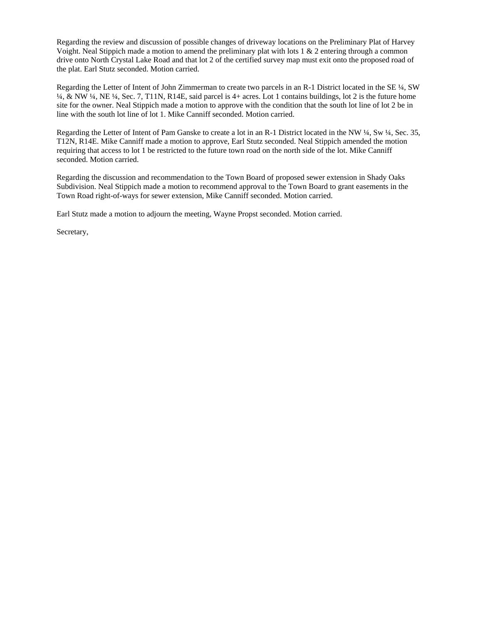Regarding the review and discussion of possible changes of driveway locations on the Preliminary Plat of Harvey Voight. Neal Stippich made a motion to amend the preliminary plat with lots 1 & 2 entering through a common drive onto North Crystal Lake Road and that lot 2 of the certified survey map must exit onto the proposed road of the plat. Earl Stutz seconded. Motion carried.

Regarding the Letter of Intent of John Zimmerman to create two parcels in an R-1 District located in the SE ¼, SW ¼, & NW ¼, NE ¼, Sec. 7, T11N, R14E, said parcel is 4+ acres. Lot 1 contains buildings, lot 2 is the future home site for the owner. Neal Stippich made a motion to approve with the condition that the south lot line of lot 2 be in line with the south lot line of lot 1. Mike Canniff seconded. Motion carried.

Regarding the Letter of Intent of Pam Ganske to create a lot in an R-1 District located in the NW ¼, Sw ¼, Sec. 35, T12N, R14E. Mike Canniff made a motion to approve, Earl Stutz seconded. Neal Stippich amended the motion requiring that access to lot 1 be restricted to the future town road on the north side of the lot. Mike Canniff seconded. Motion carried.

Regarding the discussion and recommendation to the Town Board of proposed sewer extension in Shady Oaks Subdivision. Neal Stippich made a motion to recommend approval to the Town Board to grant easements in the Town Road right-of-ways for sewer extension, Mike Canniff seconded. Motion carried.

Earl Stutz made a motion to adjourn the meeting, Wayne Propst seconded. Motion carried.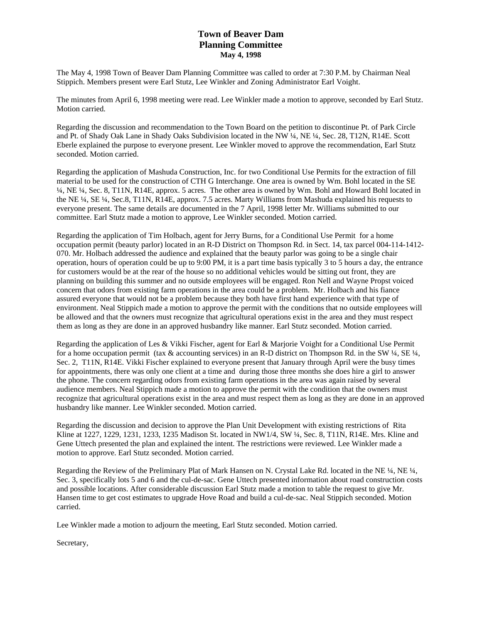## **Town of Beaver Dam Planning Committee May 4, 1998**

The May 4, 1998 Town of Beaver Dam Planning Committee was called to order at 7:30 P.M. by Chairman Neal Stippich. Members present were Earl Stutz, Lee Winkler and Zoning Administrator Earl Voight.

The minutes from April 6, 1998 meeting were read. Lee Winkler made a motion to approve, seconded by Earl Stutz. Motion carried.

Regarding the discussion and recommendation to the Town Board on the petition to discontinue Pt. of Park Circle and Pt. of Shady Oak Lane in Shady Oaks Subdivision located in the NW ¼, NE ¼, Sec. 28, T12N, R14E. Scott Eberle explained the purpose to everyone present. Lee Winkler moved to approve the recommendation, Earl Stutz seconded. Motion carried.

Regarding the application of Mashuda Construction, Inc. for two Conditional Use Permits for the extraction of fill material to be used for the construction of CTH G Interchange. One area is owned by Wm. Bohl located in the SE ¼, NE ¼, Sec. 8, T11N, R14E, approx. 5 acres. The other area is owned by Wm. Bohl and Howard Bohl located in the NE ¼, SE ¼, Sec.8, T11N, R14E, approx. 7.5 acres. Marty Williams from Mashuda explained his requests to everyone present. The same details are documented in the 7 April, 1998 letter Mr. Williams submitted to our committee. Earl Stutz made a motion to approve, Lee Winkler seconded. Motion carried.

Regarding the application of Tim Holbach, agent for Jerry Burns, for a Conditional Use Permit for a home occupation permit (beauty parlor) located in an R-D District on Thompson Rd. in Sect. 14, tax parcel 004-114-1412- 070. Mr. Holbach addressed the audience and explained that the beauty parlor was going to be a single chair operation, hours of operation could be up to 9:00 PM, it is a part time basis typically 3 to 5 hours a day, the entrance for customers would be at the rear of the house so no additional vehicles would be sitting out front, they are planning on building this summer and no outside employees will be engaged. Ron Nell and Wayne Propst voiced concern that odors from existing farm operations in the area could be a problem. Mr. Holbach and his fiance assured everyone that would not be a problem because they both have first hand experience with that type of environment. Neal Stippich made a motion to approve the permit with the conditions that no outside employees will be allowed and that the owners must recognize that agricultural operations exist in the area and they must respect them as long as they are done in an approved husbandry like manner. Earl Stutz seconded. Motion carried.

Regarding the application of Les & Vikki Fischer, agent for Earl & Marjorie Voight for a Conditional Use Permit for a home occupation permit (tax & accounting services) in an R-D district on Thompson Rd. in the SW  $\frac{1}{4}$ , SE  $\frac{1}{4}$ , Sec. 2, T11N, R14E. Vikki Fischer explained to everyone present that January through April were the busy times for appointments, there was only one client at a time and during those three months she does hire a girl to answer the phone. The concern regarding odors from existing farm operations in the area was again raised by several audience members. Neal Stippich made a motion to approve the permit with the condition that the owners must recognize that agricultural operations exist in the area and must respect them as long as they are done in an approved husbandry like manner. Lee Winkler seconded. Motion carried.

Regarding the discussion and decision to approve the Plan Unit Development with existing restrictions of Rita Kline at 1227, 1229, 1231, 1233, 1235 Madison St. located in NW1/4, SW ¼, Sec. 8, T11N, R14E. Mrs. Kline and Gene Uttech presented the plan and explained the intent. The restrictions were reviewed. Lee Winkler made a motion to approve. Earl Stutz seconded. Motion carried.

Regarding the Review of the Preliminary Plat of Mark Hansen on N. Crystal Lake Rd. located in the NE ¼, NE ¼, Sec. 3, specifically lots 5 and 6 and the cul-de-sac. Gene Uttech presented information about road construction costs and possible locations. After considerable discussion Earl Stutz made a motion to table the request to give Mr. Hansen time to get cost estimates to upgrade Hove Road and build a cul-de-sac. Neal Stippich seconded. Motion carried.

Lee Winkler made a motion to adjourn the meeting, Earl Stutz seconded. Motion carried.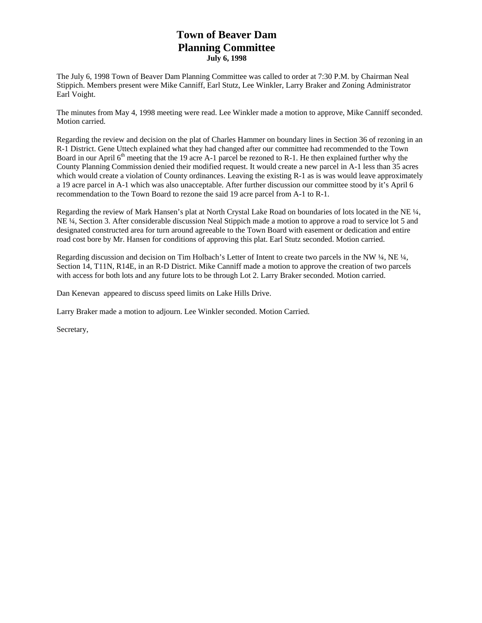# **Town of Beaver Dam Planning Committee July 6, 1998**

The July 6, 1998 Town of Beaver Dam Planning Committee was called to order at 7:30 P.M. by Chairman Neal Stippich. Members present were Mike Canniff, Earl Stutz, Lee Winkler, Larry Braker and Zoning Administrator Earl Voight.

The minutes from May 4, 1998 meeting were read. Lee Winkler made a motion to approve, Mike Canniff seconded. Motion carried.

Regarding the review and decision on the plat of Charles Hammer on boundary lines in Section 36 of rezoning in an R-1 District. Gene Uttech explained what they had changed after our committee had recommended to the Town Board in our April  $6<sup>th</sup>$  meeting that the 19 acre A-1 parcel be rezoned to R-1. He then explained further why the County Planning Commission denied their modified request. It would create a new parcel in A-1 less than 35 acres which would create a violation of County ordinances. Leaving the existing R-1 as is was would leave approximately a 19 acre parcel in A-1 which was also unacceptable. After further discussion our committee stood by it's April 6 recommendation to the Town Board to rezone the said 19 acre parcel from A-1 to R-1.

Regarding the review of Mark Hansen's plat at North Crystal Lake Road on boundaries of lots located in the NE ¼, NE ¼, Section 3. After considerable discussion Neal Stippich made a motion to approve a road to service lot 5 and designated constructed area for turn around agreeable to the Town Board with easement or dedication and entire road cost bore by Mr. Hansen for conditions of approving this plat. Earl Stutz seconded. Motion carried.

Regarding discussion and decision on Tim Holbach's Letter of Intent to create two parcels in the NW ¼, NE ¼, Section 14, T11N, R14E, in an R-D District. Mike Canniff made a motion to approve the creation of two parcels with access for both lots and any future lots to be through Lot 2. Larry Braker seconded. Motion carried.

Dan Kenevan appeared to discuss speed limits on Lake Hills Drive.

Larry Braker made a motion to adjourn. Lee Winkler seconded. Motion Carried.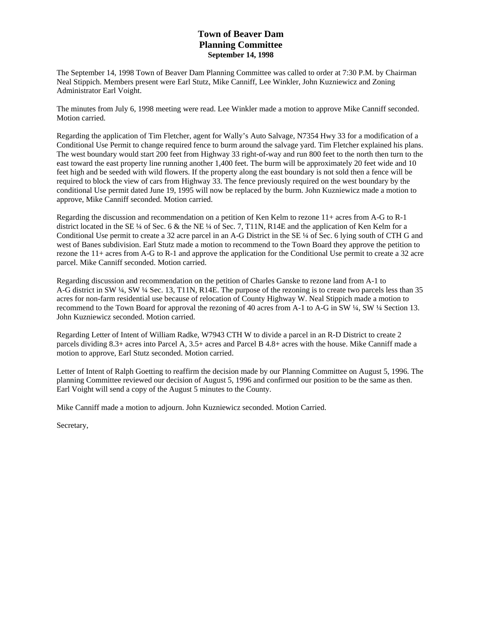### **Town of Beaver Dam Planning Committee September 14, 1998**

The September 14, 1998 Town of Beaver Dam Planning Committee was called to order at 7:30 P.M. by Chairman Neal Stippich. Members present were Earl Stutz, Mike Canniff, Lee Winkler, John Kuzniewicz and Zoning Administrator Earl Voight.

The minutes from July 6, 1998 meeting were read. Lee Winkler made a motion to approve Mike Canniff seconded. Motion carried.

Regarding the application of Tim Fletcher, agent for Wally's Auto Salvage, N7354 Hwy 33 for a modification of a Conditional Use Permit to change required fence to burm around the salvage yard. Tim Fletcher explained his plans. The west boundary would start 200 feet from Highway 33 right-of-way and run 800 feet to the north then turn to the east toward the east property line running another 1,400 feet. The burm will be approximately 20 feet wide and 10 feet high and be seeded with wild flowers. If the property along the east boundary is not sold then a fence will be required to block the view of cars from Highway 33. The fence previously required on the west boundary by the conditional Use permit dated June 19, 1995 will now be replaced by the burm. John Kuzniewicz made a motion to approve, Mike Canniff seconded. Motion carried.

Regarding the discussion and recommendation on a petition of Ken Kelm to rezone 11+ acres from A-G to R-1 district located in the SE ¼ of Sec. 6 & the NE ¼ of Sec. 7, T11N, R14E and the application of Ken Kelm for a Conditional Use permit to create a 32 acre parcel in an A-G District in the SE ¼ of Sec. 6 lying south of CTH G and west of Banes subdivision. Earl Stutz made a motion to recommend to the Town Board they approve the petition to rezone the 11+ acres from A-G to R-1 and approve the application for the Conditional Use permit to create a 32 acre parcel. Mike Canniff seconded. Motion carried.

Regarding discussion and recommendation on the petition of Charles Ganske to rezone land from A-1 to A-G district in SW ¼, SW ¼ Sec. 13, T11N, R14E. The purpose of the rezoning is to create two parcels less than 35 acres for non-farm residential use because of relocation of County Highway W. Neal Stippich made a motion to recommend to the Town Board for approval the rezoning of 40 acres from A-1 to A-G in SW ¼, SW ¼ Section 13. John Kuzniewicz seconded. Motion carried.

Regarding Letter of Intent of William Radke, W7943 CTH W to divide a parcel in an R-D District to create 2 parcels dividing 8.3+ acres into Parcel A, 3.5+ acres and Parcel B 4.8+ acres with the house. Mike Canniff made a motion to approve, Earl Stutz seconded. Motion carried.

Letter of Intent of Ralph Goetting to reaffirm the decision made by our Planning Committee on August 5, 1996. The planning Committee reviewed our decision of August 5, 1996 and confirmed our position to be the same as then. Earl Voight will send a copy of the August 5 minutes to the County.

Mike Canniff made a motion to adjourn. John Kuzniewicz seconded. Motion Carried.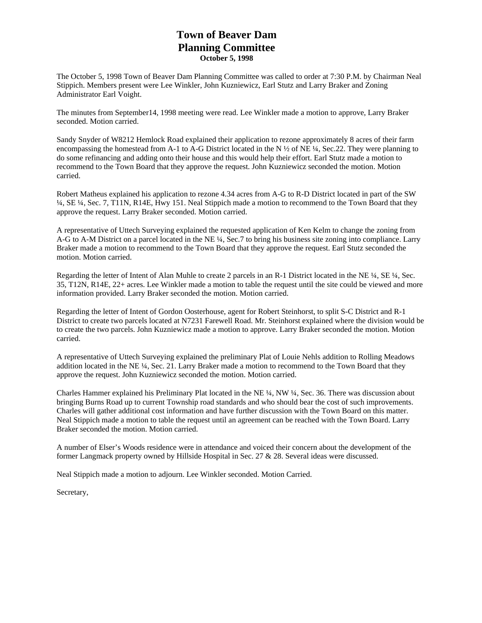## **Town of Beaver Dam Planning Committee October 5, 1998**

The October 5, 1998 Town of Beaver Dam Planning Committee was called to order at 7:30 P.M. by Chairman Neal Stippich. Members present were Lee Winkler, John Kuzniewicz, Earl Stutz and Larry Braker and Zoning Administrator Earl Voight.

The minutes from September14, 1998 meeting were read. Lee Winkler made a motion to approve, Larry Braker seconded. Motion carried.

Sandy Snyder of W8212 Hemlock Road explained their application to rezone approximately 8 acres of their farm encompassing the homestead from A-1 to A-G District located in the N ½ of NE ¼, Sec.22. They were planning to do some refinancing and adding onto their house and this would help their effort. Earl Stutz made a motion to recommend to the Town Board that they approve the request. John Kuzniewicz seconded the motion. Motion carried.

Robert Matheus explained his application to rezone 4.34 acres from A-G to R-D District located in part of the SW ¼, SE ¼, Sec. 7, T11N, R14E, Hwy 151. Neal Stippich made a motion to recommend to the Town Board that they approve the request. Larry Braker seconded. Motion carried.

A representative of Uttech Surveying explained the requested application of Ken Kelm to change the zoning from A-G to A-M District on a parcel located in the NE ¼, Sec.7 to bring his business site zoning into compliance. Larry Braker made a motion to recommend to the Town Board that they approve the request. Earl Stutz seconded the motion. Motion carried.

Regarding the letter of Intent of Alan Muhle to create 2 parcels in an R-1 District located in the NE ¼, SE ¼, Sec. 35, T12N, R14E, 22+ acres. Lee Winkler made a motion to table the request until the site could be viewed and more information provided. Larry Braker seconded the motion. Motion carried.

Regarding the letter of Intent of Gordon Oosterhouse, agent for Robert Steinhorst, to split S-C District and R-1 District to create two parcels located at N7231 Farewell Road. Mr. Steinhorst explained where the division would be to create the two parcels. John Kuzniewicz made a motion to approve. Larry Braker seconded the motion. Motion carried.

A representative of Uttech Surveying explained the preliminary Plat of Louie Nehls addition to Rolling Meadows addition located in the NE ¼, Sec. 21. Larry Braker made a motion to recommend to the Town Board that they approve the request. John Kuzniewicz seconded the motion. Motion carried.

Charles Hammer explained his Preliminary Plat located in the NE ¼, NW ¼, Sec. 36. There was discussion about bringing Burns Road up to current Township road standards and who should bear the cost of such improvements. Charles will gather additional cost information and have further discussion with the Town Board on this matter. Neal Stippich made a motion to table the request until an agreement can be reached with the Town Board. Larry Braker seconded the motion. Motion carried.

A number of Elser's Woods residence were in attendance and voiced their concern about the development of the former Langmack property owned by Hillside Hospital in Sec. 27 & 28. Several ideas were discussed.

Neal Stippich made a motion to adjourn. Lee Winkler seconded. Motion Carried.